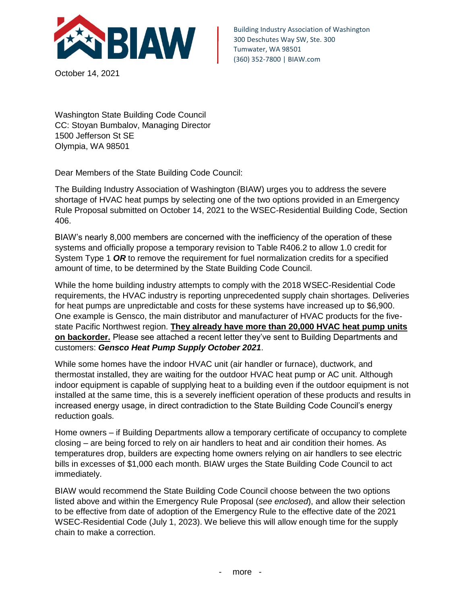

October 14, 2021

Building Industry Association of Washington 300 Deschutes Way SW, Ste. 300 Tumwater, WA 98501 (360) 352-7800 | BIAW.com

Washington State Building Code Council CC: Stoyan Bumbalov, Managing Director 1500 Jefferson St SE Olympia, WA 98501

Dear Members of the State Building Code Council:

The Building Industry Association of Washington (BIAW) urges you to address the severe shortage of HVAC heat pumps by selecting one of the two options provided in an Emergency Rule Proposal submitted on October 14, 2021 to the WSEC-Residential Building Code, Section 406.

BIAW's nearly 8,000 members are concerned with the inefficiency of the operation of these systems and officially propose a temporary revision to Table R406.2 to allow 1.0 credit for System Type 1 *OR* to remove the requirement for fuel normalization credits for a specified amount of time, to be determined by the State Building Code Council.

While the home building industry attempts to comply with the 2018 WSEC-Residential Code requirements, the HVAC industry is reporting unprecedented supply chain shortages. Deliveries for heat pumps are unpredictable and costs for these systems have increased up to \$6,900. One example is Gensco, the main distributor and manufacturer of HVAC products for the fivestate Pacific Northwest region. **They already have more than 20,000 HVAC heat pump units on backorder.** Please see attached a recent letter they've sent to Building Departments and customers: *Gensco Heat Pump Supply October 2021*.

While some homes have the indoor HVAC unit (air handler or furnace), ductwork, and thermostat installed, they are waiting for the outdoor HVAC heat pump or AC unit. Although indoor equipment is capable of supplying heat to a building even if the outdoor equipment is not installed at the same time, this is a severely inefficient operation of these products and results in increased energy usage, in direct contradiction to the State Building Code Council's energy reduction goals.

Home owners – if Building Departments allow a temporary certificate of occupancy to complete closing – are being forced to rely on air handlers to heat and air condition their homes. As temperatures drop, builders are expecting home owners relying on air handlers to see electric bills in excesses of \$1,000 each month. BIAW urges the State Building Code Council to act immediately.

BIAW would recommend the State Building Code Council choose between the two options listed above and within the Emergency Rule Proposal (*see enclosed*), and allow their selection to be effective from date of adoption of the Emergency Rule to the effective date of the 2021 WSEC-Residential Code (July 1, 2023). We believe this will allow enough time for the supply chain to make a correction.